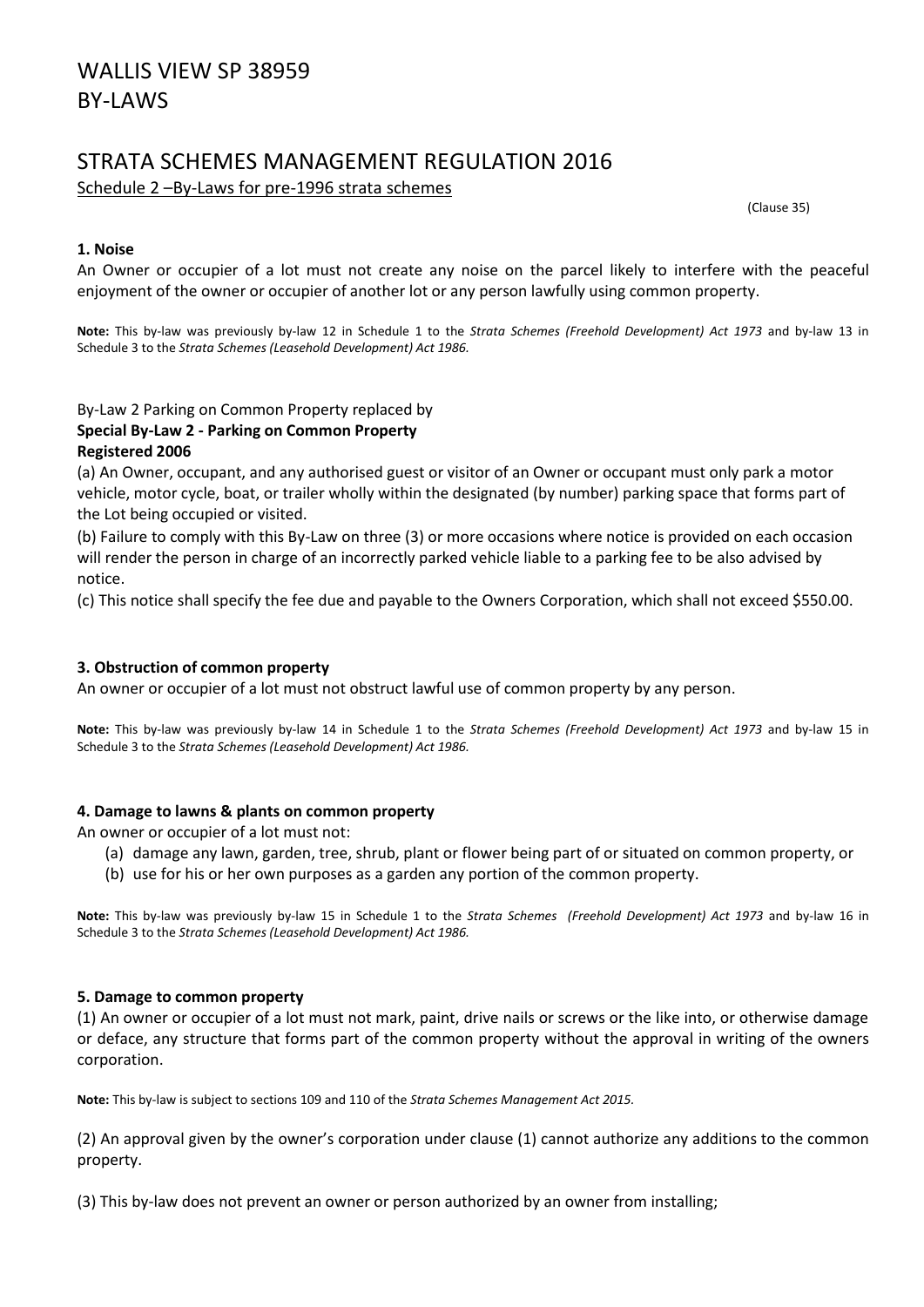# WALLIS VIEW SP 38959 BY-LAWS

# STRATA SCHEMES MANAGEMENT REGULATION 2016

Schedule 2 –By-Laws for pre-1996 strata schemes

(Clause 35)

#### **1. Noise**

An Owner or occupier of a lot must not create any noise on the parcel likely to interfere with the peaceful enjoyment of the owner or occupier of another lot or any person lawfully using common property.

**Note:** This by-law was previously by-law 12 in Schedule 1 to the *Strata Schemes (Freehold Development) Act 1973* and by-law 13 in Schedule 3 to the *Strata Schemes (Leasehold Development) Act 1986.*

# By-Law 2 Parking on Common Property replaced by

#### **Special By-Law 2 - Parking on Common Property Registered 2006**

(a) An Owner, occupant, and any authorised guest or visitor of an Owner or occupant must only park a motor vehicle, motor cycle, boat, or trailer wholly within the designated (by number) parking space that forms part of the Lot being occupied or visited.

(b) Failure to comply with this By-Law on three (3) or more occasions where notice is provided on each occasion will render the person in charge of an incorrectly parked vehicle liable to a parking fee to be also advised by notice.

(c) This notice shall specify the fee due and payable to the Owners Corporation, which shall not exceed \$550.00.

### **3. Obstruction of common property**

An owner or occupier of a lot must not obstruct lawful use of common property by any person.

**Note:** This by-law was previously by-law 14 in Schedule 1 to the *Strata Schemes (Freehold Development) Act 1973* and by-law 15 in Schedule 3 to the *Strata Schemes (Leasehold Development) Act 1986.*

#### **4. Damage to lawns & plants on common property**

An owner or occupier of a lot must not:

- (a) damage any lawn, garden, tree, shrub, plant or flower being part of or situated on common property, or
- (b) use for his or her own purposes as a garden any portion of the common property.

**Note:** This by-law was previously by-law 15 in Schedule 1 to the *Strata Schemes (Freehold Development) Act 1973* and by-law 16 in Schedule 3 to the *Strata Schemes (Leasehold Development) Act 1986.*

#### **5. Damage to common property**

(1) An owner or occupier of a lot must not mark, paint, drive nails or screws or the like into, or otherwise damage or deface, any structure that forms part of the common property without the approval in writing of the owners corporation.

**Note:** This by-law is subject to sections 109 and 110 of the *Strata Schemes Management Act 2015.*

(2) An approval given by the owner's corporation under clause (1) cannot authorize any additions to the common property.

(3) This by-law does not prevent an owner or person authorized by an owner from installing;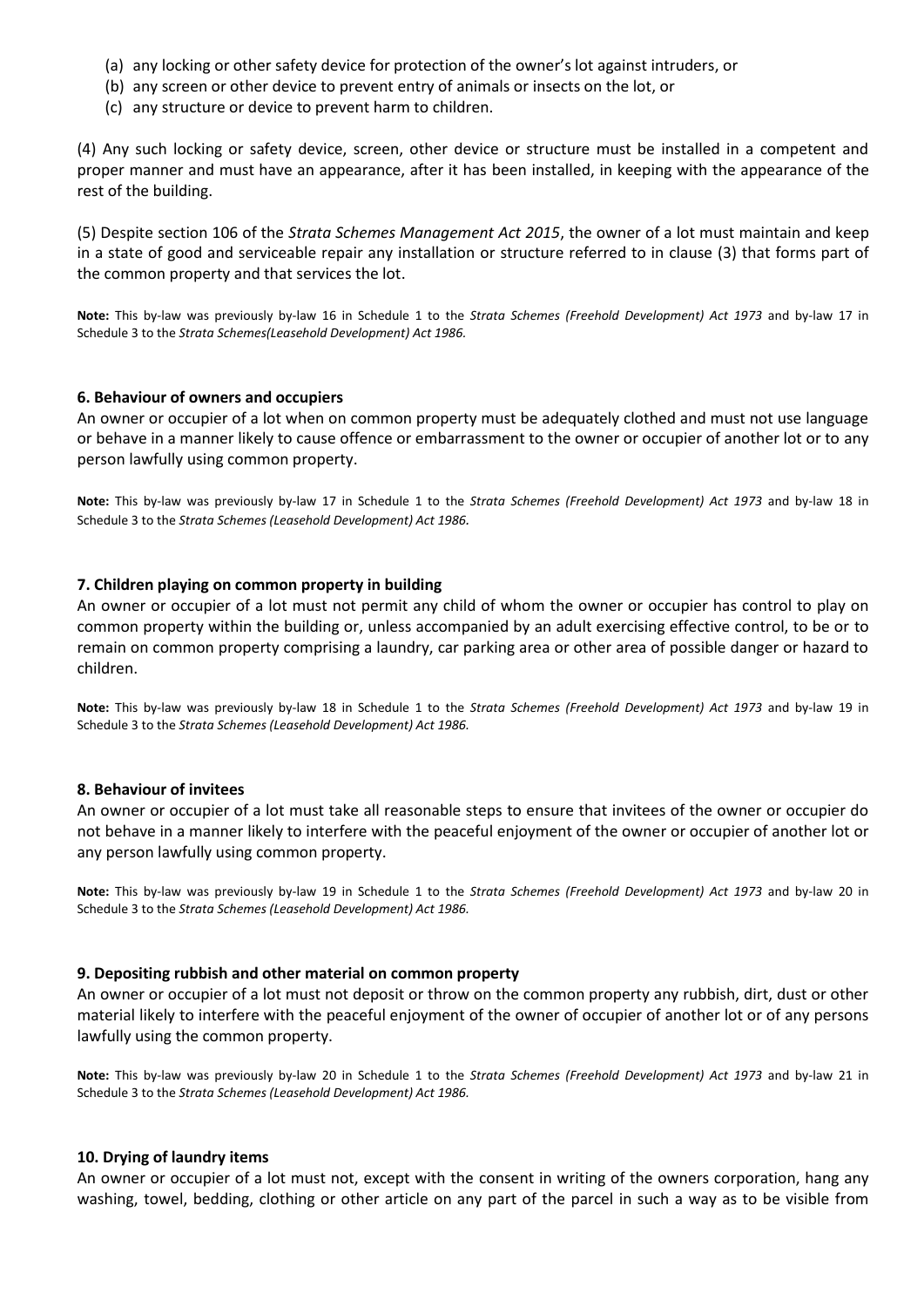- (a) any locking or other safety device for protection of the owner's lot against intruders, or
- (b) any screen or other device to prevent entry of animals or insects on the lot, or
- (c) any structure or device to prevent harm to children.

(4) Any such locking or safety device, screen, other device or structure must be installed in a competent and proper manner and must have an appearance, after it has been installed, in keeping with the appearance of the rest of the building.

(5) Despite section 106 of the *Strata Schemes Management Act 2015*, the owner of a lot must maintain and keep in a state of good and serviceable repair any installation or structure referred to in clause (3) that forms part of the common property and that services the lot.

**Note:** This by-law was previously by-law 16 in Schedule 1 to the *Strata Schemes (Freehold Development) Act 1973* and by-law 17 in Schedule 3 to the *Strata Schemes(Leasehold Development) Act 1986.*

#### **6. Behaviour of owners and occupiers**

An owner or occupier of a lot when on common property must be adequately clothed and must not use language or behave in a manner likely to cause offence or embarrassment to the owner or occupier of another lot or to any person lawfully using common property.

**Note:** This by-law was previously by-law 17 in Schedule 1 to the *Strata Schemes (Freehold Development) Act 1973* and by-law 18 in Schedule 3 to the *Strata Schemes (Leasehold Development) Act 1986.*

#### **7. Children playing on common property in building**

An owner or occupier of a lot must not permit any child of whom the owner or occupier has control to play on common property within the building or, unless accompanied by an adult exercising effective control, to be or to remain on common property comprising a laundry, car parking area or other area of possible danger or hazard to children.

**Note:** This by-law was previously by-law 18 in Schedule 1 to the *Strata Schemes (Freehold Development) Act 1973* and by-law 19 in Schedule 3 to the *Strata Schemes (Leasehold Development) Act 1986.*

#### **8. Behaviour of invitees**

An owner or occupier of a lot must take all reasonable steps to ensure that invitees of the owner or occupier do not behave in a manner likely to interfere with the peaceful enjoyment of the owner or occupier of another lot or any person lawfully using common property.

**Note:** This by-law was previously by-law 19 in Schedule 1 to the *Strata Schemes (Freehold Development) Act 1973* and by-law 20 in Schedule 3 to the *Strata Schemes (Leasehold Development) Act 1986.*

#### **9. Depositing rubbish and other material on common property**

An owner or occupier of a lot must not deposit or throw on the common property any rubbish, dirt, dust or other material likely to interfere with the peaceful enjoyment of the owner of occupier of another lot or of any persons lawfully using the common property.

**Note:** This by-law was previously by-law 20 in Schedule 1 to the *Strata Schemes (Freehold Development) Act 1973* and by-law 21 in Schedule 3 to the *Strata Schemes (Leasehold Development) Act 1986.*

#### **10. Drying of laundry items**

An owner or occupier of a lot must not, except with the consent in writing of the owners corporation, hang any washing, towel, bedding, clothing or other article on any part of the parcel in such a way as to be visible from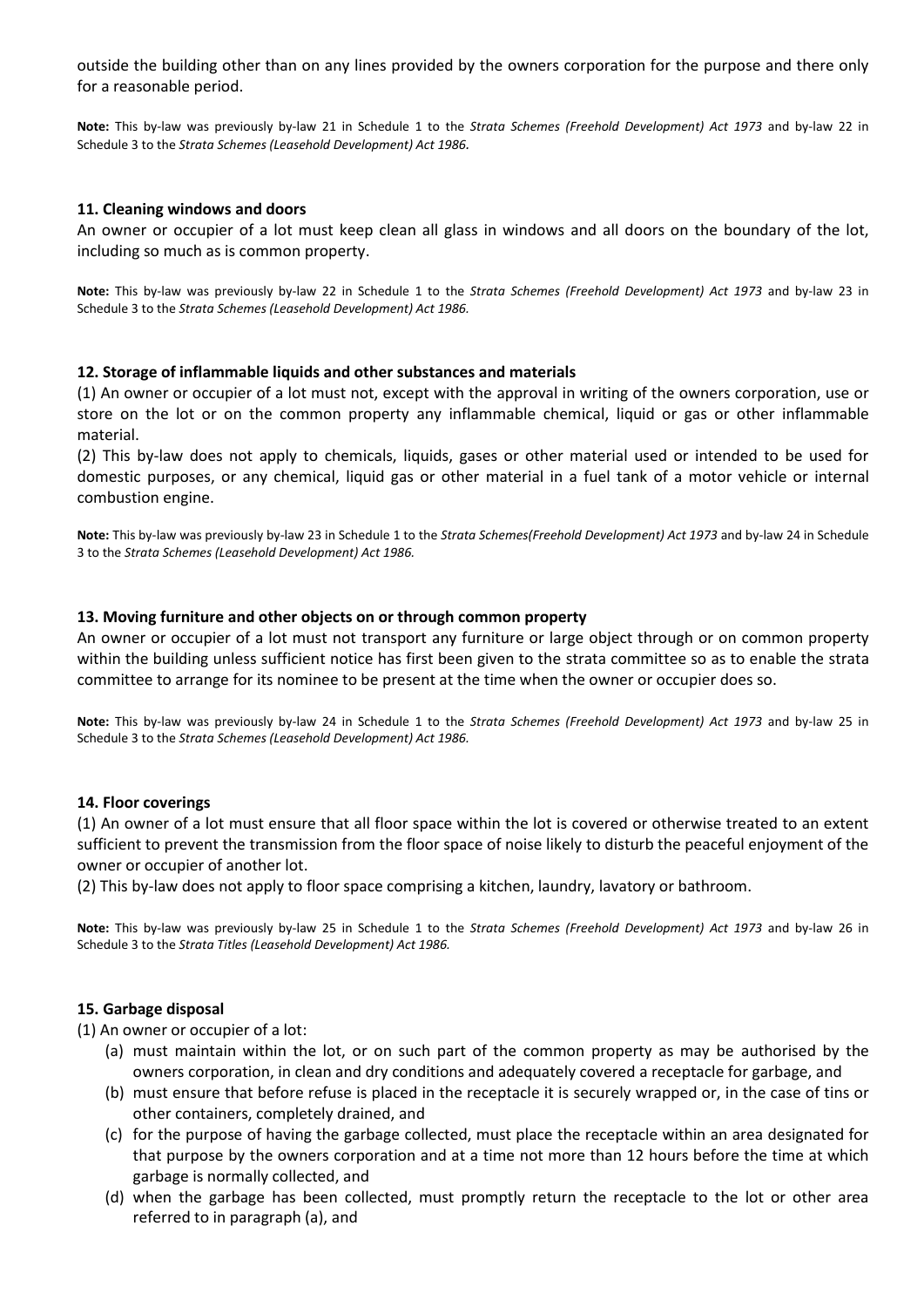outside the building other than on any lines provided by the owners corporation for the purpose and there only for a reasonable period.

**Note:** This by-law was previously by-law 21 in Schedule 1 to the *Strata Schemes (Freehold Development) Act 1973* and by-law 22 in Schedule 3 to the *Strata Schemes (Leasehold Development) Act 1986.*

#### **11. Cleaning windows and doors**

An owner or occupier of a lot must keep clean all glass in windows and all doors on the boundary of the lot, including so much as is common property.

**Note:** This by-law was previously by-law 22 in Schedule 1 to the *Strata Schemes (Freehold Development) Act 1973* and by-law 23 in Schedule 3 to the *Strata Schemes (Leasehold Development) Act 1986.*

#### **12. Storage of inflammable liquids and other substances and materials**

(1) An owner or occupier of a lot must not, except with the approval in writing of the owners corporation, use or store on the lot or on the common property any inflammable chemical, liquid or gas or other inflammable material.

(2) This by-law does not apply to chemicals, liquids, gases or other material used or intended to be used for domestic purposes, or any chemical, liquid gas or other material in a fuel tank of a motor vehicle or internal combustion engine.

**Note:** This by-law was previously by-law 23 in Schedule 1 to the *Strata Schemes(Freehold Development) Act 1973* and by-law 24 in Schedule 3 to the *Strata Schemes (Leasehold Development) Act 1986.*

#### **13. Moving furniture and other objects on or through common property**

An owner or occupier of a lot must not transport any furniture or large object through or on common property within the building unless sufficient notice has first been given to the strata committee so as to enable the strata committee to arrange for its nominee to be present at the time when the owner or occupier does so.

**Note:** This by-law was previously by-law 24 in Schedule 1 to the *Strata Schemes (Freehold Development) Act 1973* and by-law 25 in Schedule 3 to the *Strata Schemes (Leasehold Development) Act 1986.*

#### **14. Floor coverings**

(1) An owner of a lot must ensure that all floor space within the lot is covered or otherwise treated to an extent sufficient to prevent the transmission from the floor space of noise likely to disturb the peaceful enjoyment of the owner or occupier of another lot.

(2) This by-law does not apply to floor space comprising a kitchen, laundry, lavatory or bathroom.

**Note:** This by-law was previously by-law 25 in Schedule 1 to the *Strata Schemes (Freehold Development) Act 1973* and by-law 26 in Schedule 3 to the *Strata Titles (Leasehold Development) Act 1986.*

#### **15. Garbage disposal**

(1) An owner or occupier of a lot:

- (a) must maintain within the lot, or on such part of the common property as may be authorised by the owners corporation, in clean and dry conditions and adequately covered a receptacle for garbage, and
- (b) must ensure that before refuse is placed in the receptacle it is securely wrapped or, in the case of tins or other containers, completely drained, and
- (c) for the purpose of having the garbage collected, must place the receptacle within an area designated for that purpose by the owners corporation and at a time not more than 12 hours before the time at which garbage is normally collected, and
- (d) when the garbage has been collected, must promptly return the receptacle to the lot or other area referred to in paragraph (a), and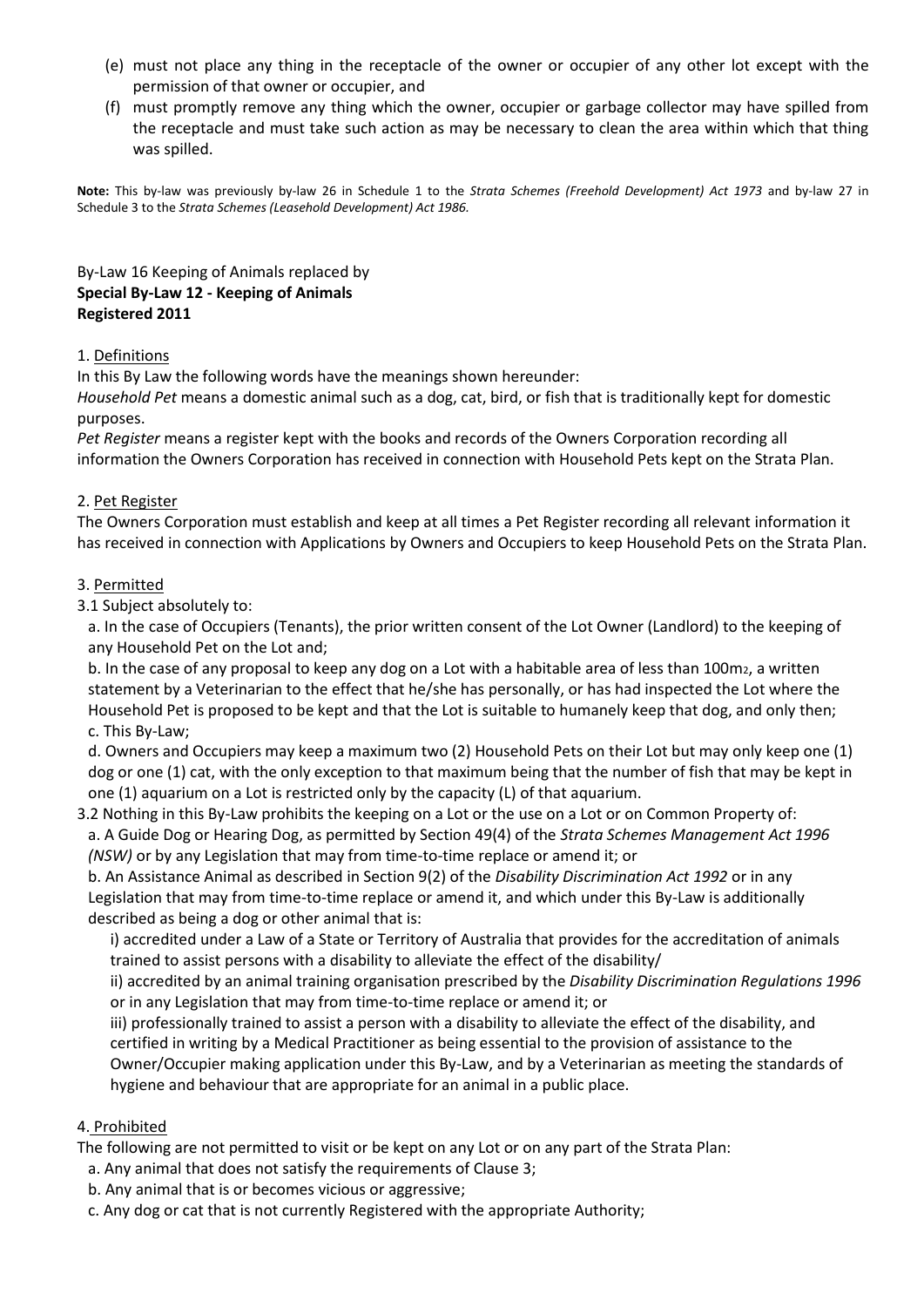- (e) must not place any thing in the receptacle of the owner or occupier of any other lot except with the permission of that owner or occupier, and
- (f) must promptly remove any thing which the owner, occupier or garbage collector may have spilled from the receptacle and must take such action as may be necessary to clean the area within which that thing was spilled.

**Note:** This by-law was previously by-law 26 in Schedule 1 to the *Strata Schemes (Freehold Development) Act 1973* and by-law 27 in Schedule 3 to the *Strata Schemes (Leasehold Development) Act 1986.*

By-Law 16 Keeping of Animals replaced by **Special By-Law 12 - Keeping of Animals Registered 2011**

### 1. Definitions

In this By Law the following words have the meanings shown hereunder:

*Household Pet* means a domestic animal such as a dog, cat, bird, or fish that is traditionally kept for domestic purposes.

*Pet Register* means a register kept with the books and records of the Owners Corporation recording all information the Owners Corporation has received in connection with Household Pets kept on the Strata Plan.

#### 2. Pet Register

The Owners Corporation must establish and keep at all times a Pet Register recording all relevant information it has received in connection with Applications by Owners and Occupiers to keep Household Pets on the Strata Plan.

#### 3. Permitted

3.1 Subject absolutely to:

a. In the case of Occupiers (Tenants), the prior written consent of the Lot Owner (Landlord) to the keeping of any Household Pet on the Lot and;

b. In the case of any proposal to keep any dog on a Lot with a habitable area of less than 100m2, a written statement by a Veterinarian to the effect that he/she has personally, or has had inspected the Lot where the Household Pet is proposed to be kept and that the Lot is suitable to humanely keep that dog, and only then; c. This By-Law;

d. Owners and Occupiers may keep a maximum two (2) Household Pets on their Lot but may only keep one (1) dog or one (1) cat, with the only exception to that maximum being that the number of fish that may be kept in one (1) aquarium on a Lot is restricted only by the capacity (L) of that aquarium.

3.2 Nothing in this By-Law prohibits the keeping on a Lot or the use on a Lot or on Common Property of: a. A Guide Dog or Hearing Dog, as permitted by Section 49(4) of the *Strata Schemes Management Act 1996 (NSW)* or by any Legislation that may from time-to-time replace or amend it; or

b. An Assistance Animal as described in Section 9(2) of the *Disability Discrimination Act 1992* or in any Legislation that may from time-to-time replace or amend it, and which under this By-Law is additionally described as being a dog or other animal that is:

i) accredited under a Law of a State or Territory of Australia that provides for the accreditation of animals trained to assist persons with a disability to alleviate the effect of the disability/

ii) accredited by an animal training organisation prescribed by the *Disability Discrimination Regulations 1996*  or in any Legislation that may from time-to-time replace or amend it; or

iii) professionally trained to assist a person with a disability to alleviate the effect of the disability, and certified in writing by a Medical Practitioner as being essential to the provision of assistance to the Owner/Occupier making application under this By-Law, and by a Veterinarian as meeting the standards of hygiene and behaviour that are appropriate for an animal in a public place.

#### 4. Prohibited

The following are not permitted to visit or be kept on any Lot or on any part of the Strata Plan:

- a. Any animal that does not satisfy the requirements of Clause 3;
- b. Any animal that is or becomes vicious or aggressive;
- c. Any dog or cat that is not currently Registered with the appropriate Authority;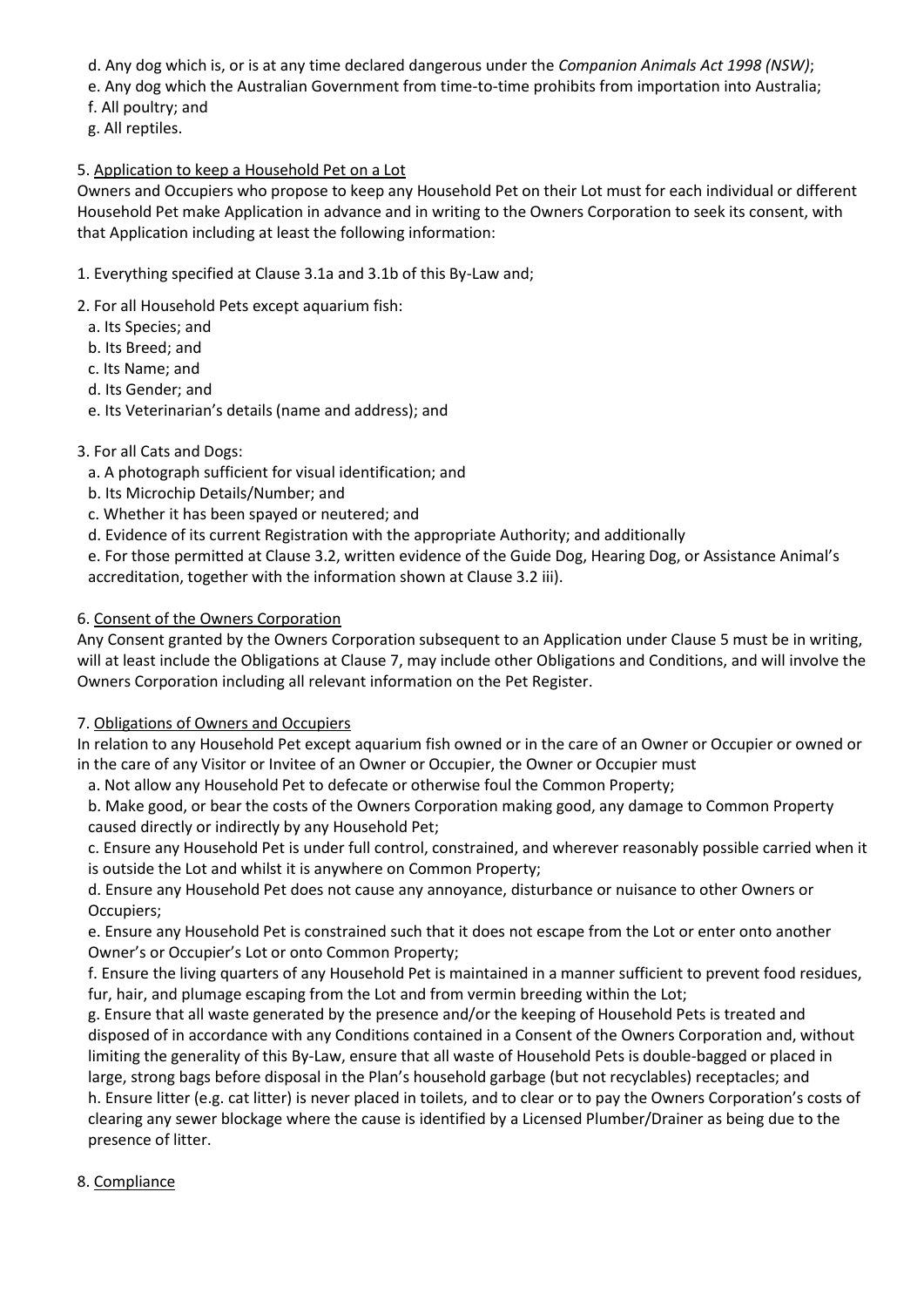d. Any dog which is, or is at any time declared dangerous under the *Companion Animals Act 1998 (NSW)*;

e. Any dog which the Australian Government from time-to-time prohibits from importation into Australia;

- f. All poultry; and
- g. All reptiles.

### 5. Application to keep a Household Pet on a Lot

Owners and Occupiers who propose to keep any Household Pet on their Lot must for each individual or different Household Pet make Application in advance and in writing to the Owners Corporation to seek its consent, with that Application including at least the following information:

- 1. Everything specified at Clause 3.1a and 3.1b of this By-Law and;
- 2. For all Household Pets except aquarium fish:
	- a. Its Species; and
	- b. Its Breed; and
	- c. Its Name; and
	- d. Its Gender; and
	- e. Its Veterinarian's details (name and address); and

# 3. For all Cats and Dogs:

- a. A photograph sufficient for visual identification; and
- b. Its Microchip Details/Number; and
- c. Whether it has been spayed or neutered; and
- d. Evidence of its current Registration with the appropriate Authority; and additionally

e. For those permitted at Clause 3.2, written evidence of the Guide Dog, Hearing Dog, or Assistance Animal's accreditation, together with the information shown at Clause 3.2 iii).

### 6. Consent of the Owners Corporation

Any Consent granted by the Owners Corporation subsequent to an Application under Clause 5 must be in writing, will at least include the Obligations at Clause 7, may include other Obligations and Conditions, and will involve the Owners Corporation including all relevant information on the Pet Register.

### 7. Obligations of Owners and Occupiers

In relation to any Household Pet except aquarium fish owned or in the care of an Owner or Occupier or owned or in the care of any Visitor or Invitee of an Owner or Occupier, the Owner or Occupier must

a. Not allow any Household Pet to defecate or otherwise foul the Common Property;

b. Make good, or bear the costs of the Owners Corporation making good, any damage to Common Property caused directly or indirectly by any Household Pet;

c. Ensure any Household Pet is under full control, constrained, and wherever reasonably possible carried when it is outside the Lot and whilst it is anywhere on Common Property;

d. Ensure any Household Pet does not cause any annoyance, disturbance or nuisance to other Owners or Occupiers;

e. Ensure any Household Pet is constrained such that it does not escape from the Lot or enter onto another Owner's or Occupier's Lot or onto Common Property;

f. Ensure the living quarters of any Household Pet is maintained in a manner sufficient to prevent food residues, fur, hair, and plumage escaping from the Lot and from vermin breeding within the Lot;

g. Ensure that all waste generated by the presence and/or the keeping of Household Pets is treated and disposed of in accordance with any Conditions contained in a Consent of the Owners Corporation and, without limiting the generality of this By-Law, ensure that all waste of Household Pets is double-bagged or placed in large, strong bags before disposal in the Plan's household garbage (but not recyclables) receptacles; and

h. Ensure litter (e.g. cat litter) is never placed in toilets, and to clear or to pay the Owners Corporation's costs of clearing any sewer blockage where the cause is identified by a Licensed Plumber/Drainer as being due to the presence of litter.

# 8. Compliance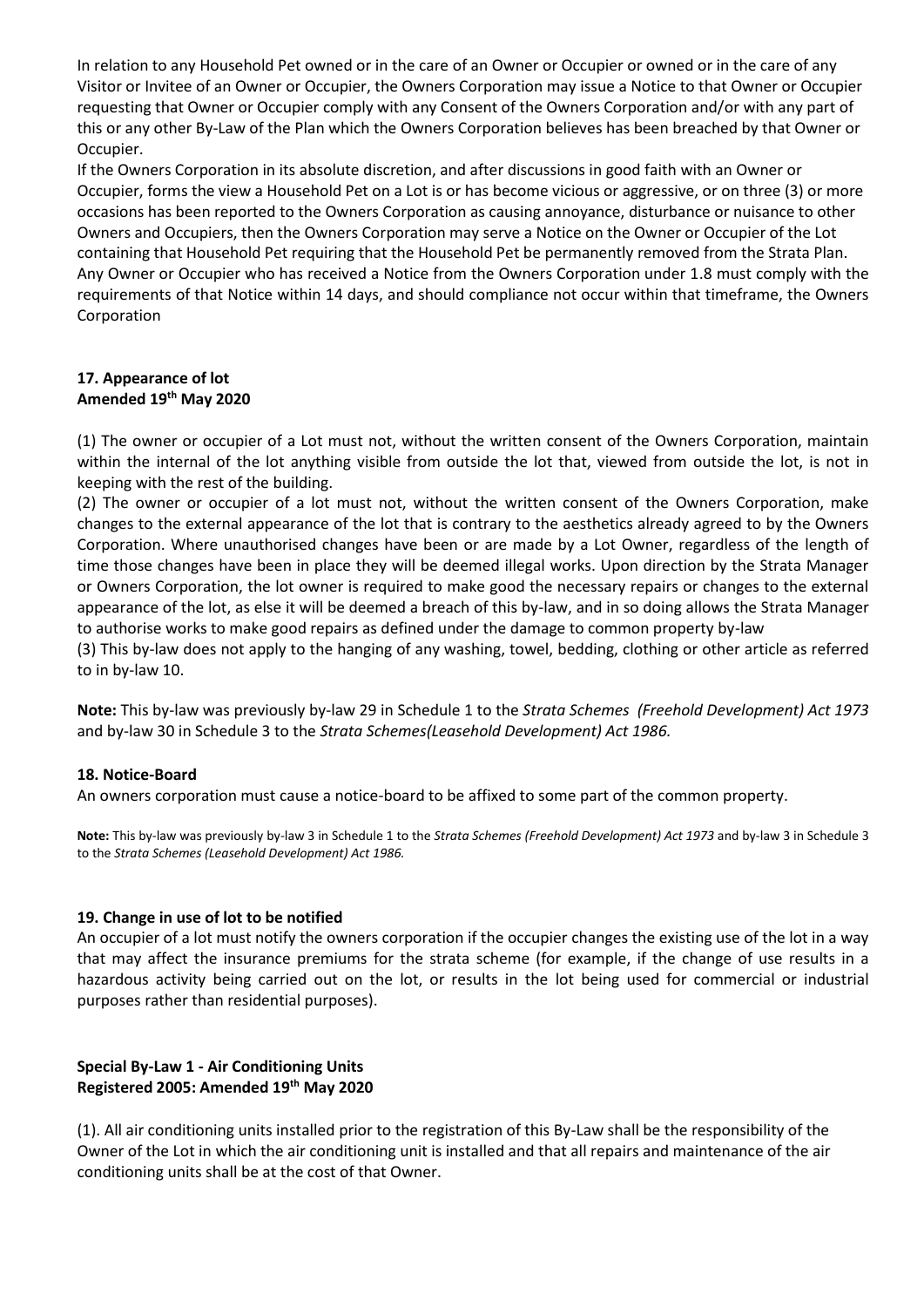In relation to any Household Pet owned or in the care of an Owner or Occupier or owned or in the care of any Visitor or Invitee of an Owner or Occupier, the Owners Corporation may issue a Notice to that Owner or Occupier requesting that Owner or Occupier comply with any Consent of the Owners Corporation and/or with any part of this or any other By-Law of the Plan which the Owners Corporation believes has been breached by that Owner or Occupier.

If the Owners Corporation in its absolute discretion, and after discussions in good faith with an Owner or Occupier, forms the view a Household Pet on a Lot is or has become vicious or aggressive, or on three (3) or more occasions has been reported to the Owners Corporation as causing annoyance, disturbance or nuisance to other Owners and Occupiers, then the Owners Corporation may serve a Notice on the Owner or Occupier of the Lot containing that Household Pet requiring that the Household Pet be permanently removed from the Strata Plan. Any Owner or Occupier who has received a Notice from the Owners Corporation under 1.8 must comply with the requirements of that Notice within 14 days, and should compliance not occur within that timeframe, the Owners Corporation

### **17. Appearance of lot Amended 19th May 2020**

(1) The owner or occupier of a Lot must not, without the written consent of the Owners Corporation, maintain within the internal of the lot anything visible from outside the lot that, viewed from outside the lot, is not in keeping with the rest of the building.

(2) The owner or occupier of a lot must not, without the written consent of the Owners Corporation, make changes to the external appearance of the lot that is contrary to the aesthetics already agreed to by the Owners Corporation. Where unauthorised changes have been or are made by a Lot Owner, regardless of the length of time those changes have been in place they will be deemed illegal works. Upon direction by the Strata Manager or Owners Corporation, the lot owner is required to make good the necessary repairs or changes to the external appearance of the lot, as else it will be deemed a breach of this by-law, and in so doing allows the Strata Manager to authorise works to make good repairs as defined under the damage to common property by-law

(3) This by-law does not apply to the hanging of any washing, towel, bedding, clothing or other article as referred to in by-law 10.

**Note:** This by-law was previously by-law 29 in Schedule 1 to the *Strata Schemes (Freehold Development) Act 1973* and by-law 30 in Schedule 3 to the *Strata Schemes(Leasehold Development) Act 1986.*

### **18. Notice-Board**

An owners corporation must cause a notice-board to be affixed to some part of the common property.

**Note:** This by-law was previously by-law 3 in Schedule 1 to the *Strata Schemes (Freehold Development) Act 1973* and by-law 3 in Schedule 3 to the *Strata Schemes (Leasehold Development) Act 1986.*

### **19. Change in use of lot to be notified**

An occupier of a lot must notify the owners corporation if the occupier changes the existing use of the lot in a way that may affect the insurance premiums for the strata scheme (for example, if the change of use results in a hazardous activity being carried out on the lot, or results in the lot being used for commercial or industrial purposes rather than residential purposes).

# **Special By-Law 1 - Air Conditioning Units Registered 2005: Amended 19th May 2020**

(1). All air conditioning units installed prior to the registration of this By-Law shall be the responsibility of the Owner of the Lot in which the air conditioning unit is installed and that all repairs and maintenance of the air conditioning units shall be at the cost of that Owner.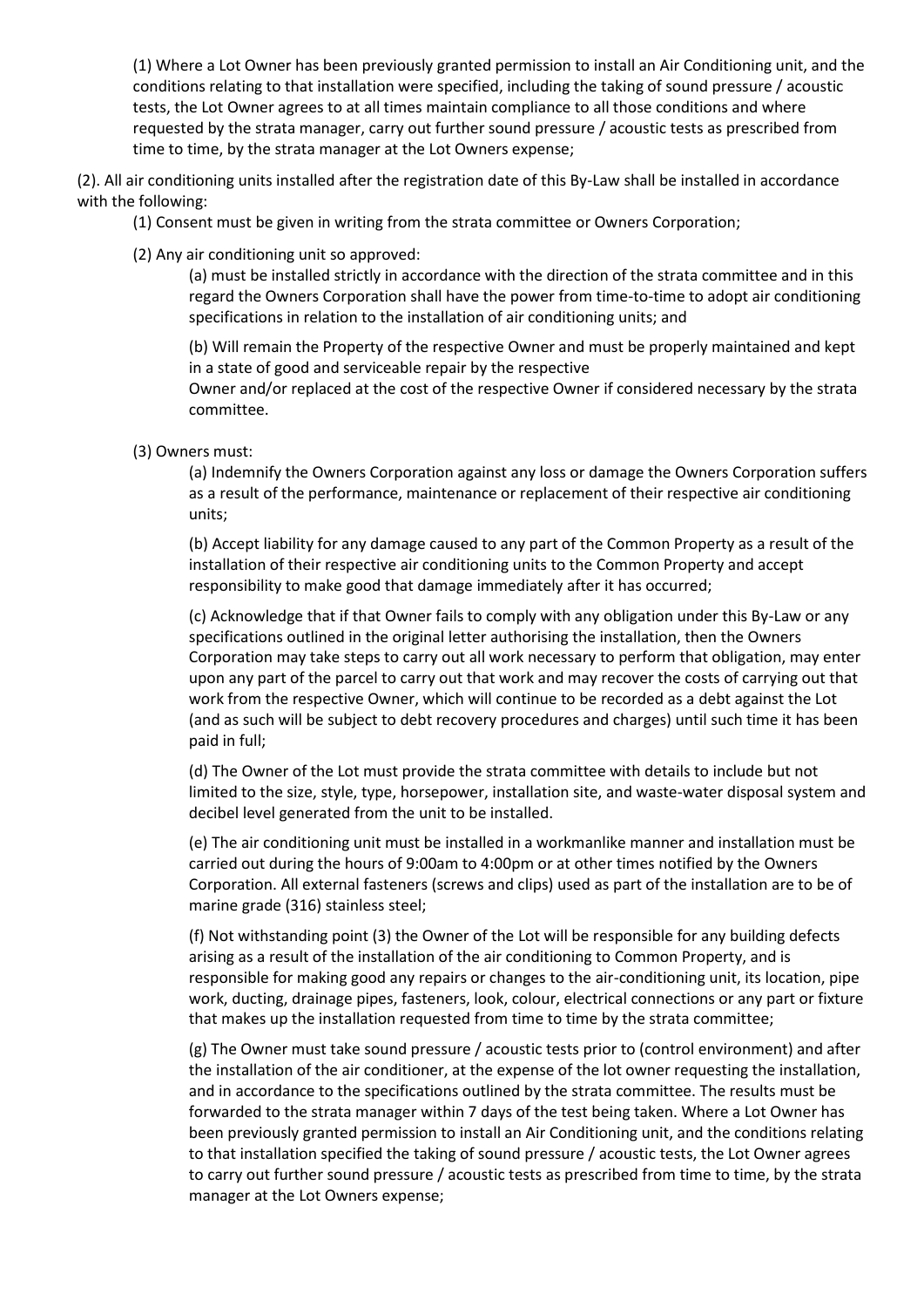(1) Where a Lot Owner has been previously granted permission to install an Air Conditioning unit, and the conditions relating to that installation were specified, including the taking of sound pressure / acoustic tests, the Lot Owner agrees to at all times maintain compliance to all those conditions and where requested by the strata manager, carry out further sound pressure / acoustic tests as prescribed from time to time, by the strata manager at the Lot Owners expense;

(2). All air conditioning units installed after the registration date of this By-Law shall be installed in accordance with the following:

- (1) Consent must be given in writing from the strata committee or Owners Corporation;
- (2) Any air conditioning unit so approved:

(a) must be installed strictly in accordance with the direction of the strata committee and in this regard the Owners Corporation shall have the power from time-to-time to adopt air conditioning specifications in relation to the installation of air conditioning units; and

(b) Will remain the Property of the respective Owner and must be properly maintained and kept in a state of good and serviceable repair by the respective

Owner and/or replaced at the cost of the respective Owner if considered necessary by the strata committee.

(3) Owners must:

(a) Indemnify the Owners Corporation against any loss or damage the Owners Corporation suffers as a result of the performance, maintenance or replacement of their respective air conditioning units;

(b) Accept liability for any damage caused to any part of the Common Property as a result of the installation of their respective air conditioning units to the Common Property and accept responsibility to make good that damage immediately after it has occurred;

(c) Acknowledge that if that Owner fails to comply with any obligation under this By-Law or any specifications outlined in the original letter authorising the installation, then the Owners Corporation may take steps to carry out all work necessary to perform that obligation, may enter upon any part of the parcel to carry out that work and may recover the costs of carrying out that work from the respective Owner, which will continue to be recorded as a debt against the Lot (and as such will be subject to debt recovery procedures and charges) until such time it has been paid in full;

(d) The Owner of the Lot must provide the strata committee with details to include but not limited to the size, style, type, horsepower, installation site, and waste-water disposal system and decibel level generated from the unit to be installed.

(e) The air conditioning unit must be installed in a workmanlike manner and installation must be carried out during the hours of 9:00am to 4:00pm or at other times notified by the Owners Corporation. All external fasteners (screws and clips) used as part of the installation are to be of marine grade (316) stainless steel;

(f) Not withstanding point (3) the Owner of the Lot will be responsible for any building defects arising as a result of the installation of the air conditioning to Common Property, and is responsible for making good any repairs or changes to the air-conditioning unit, its location, pipe work, ducting, drainage pipes, fasteners, look, colour, electrical connections or any part or fixture that makes up the installation requested from time to time by the strata committee;

(g) The Owner must take sound pressure / acoustic tests prior to (control environment) and after the installation of the air conditioner, at the expense of the lot owner requesting the installation, and in accordance to the specifications outlined by the strata committee. The results must be forwarded to the strata manager within 7 days of the test being taken. Where a Lot Owner has been previously granted permission to install an Air Conditioning unit, and the conditions relating to that installation specified the taking of sound pressure / acoustic tests, the Lot Owner agrees to carry out further sound pressure / acoustic tests as prescribed from time to time, by the strata manager at the Lot Owners expense;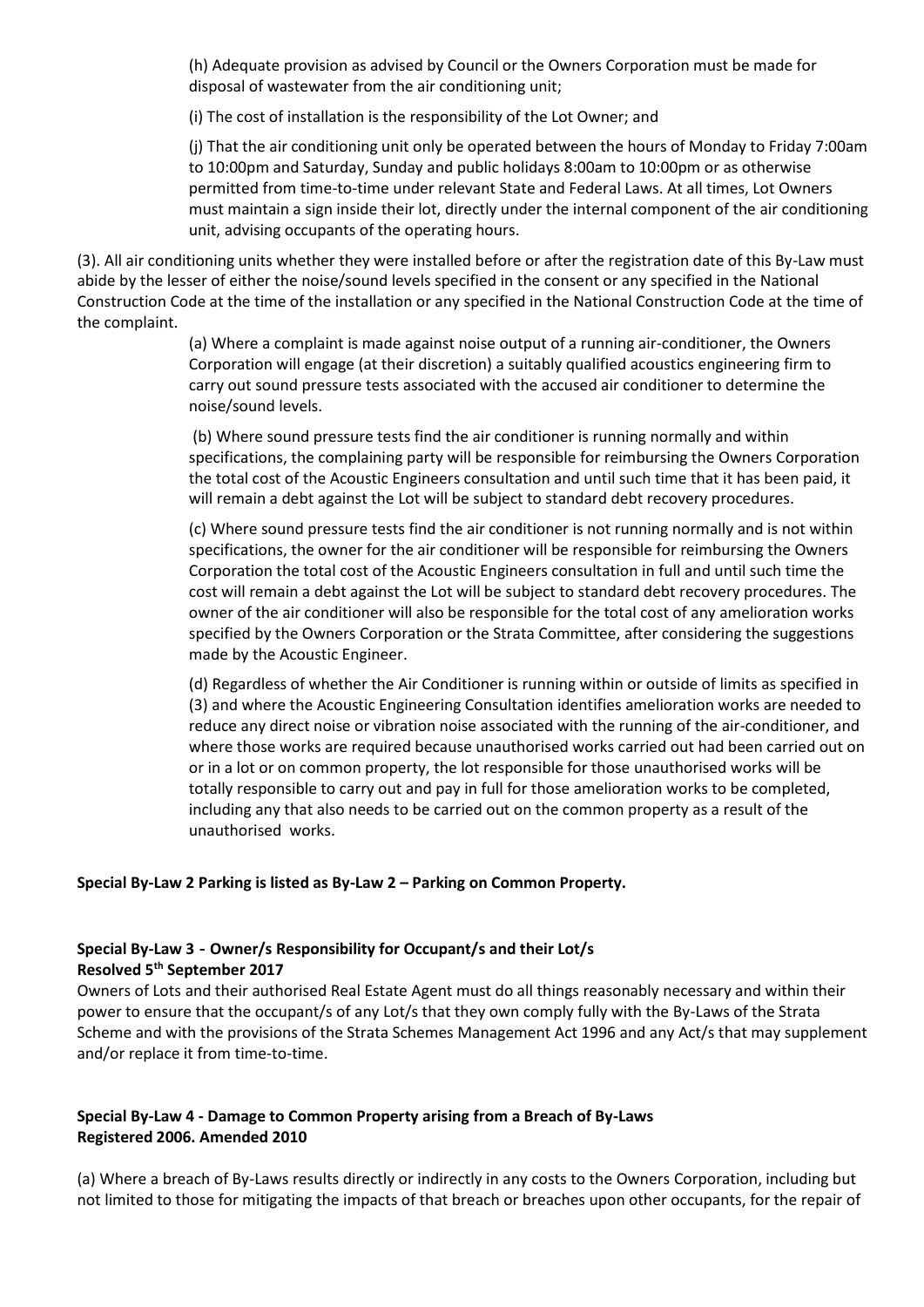(h) Adequate provision as advised by Council or the Owners Corporation must be made for disposal of wastewater from the air conditioning unit;

(i) The cost of installation is the responsibility of the Lot Owner; and

(j) That the air conditioning unit only be operated between the hours of Monday to Friday 7:00am to 10:00pm and Saturday, Sunday and public holidays 8:00am to 10:00pm or as otherwise permitted from time-to-time under relevant State and Federal Laws. At all times, Lot Owners must maintain a sign inside their lot, directly under the internal component of the air conditioning unit, advising occupants of the operating hours.

(3). All air conditioning units whether they were installed before or after the registration date of this By-Law must abide by the lesser of either the noise/sound levels specified in the consent or any specified in the National Construction Code at the time of the installation or any specified in the National Construction Code at the time of the complaint.

> (a) Where a complaint is made against noise output of a running air-conditioner, the Owners Corporation will engage (at their discretion) a suitably qualified acoustics engineering firm to carry out sound pressure tests associated with the accused air conditioner to determine the noise/sound levels.

(b) Where sound pressure tests find the air conditioner is running normally and within specifications, the complaining party will be responsible for reimbursing the Owners Corporation the total cost of the Acoustic Engineers consultation and until such time that it has been paid, it will remain a debt against the Lot will be subject to standard debt recovery procedures.

(c) Where sound pressure tests find the air conditioner is not running normally and is not within specifications, the owner for the air conditioner will be responsible for reimbursing the Owners Corporation the total cost of the Acoustic Engineers consultation in full and until such time the cost will remain a debt against the Lot will be subject to standard debt recovery procedures. The owner of the air conditioner will also be responsible for the total cost of any amelioration works specified by the Owners Corporation or the Strata Committee, after considering the suggestions made by the Acoustic Engineer.

(d) Regardless of whether the Air Conditioner is running within or outside of limits as specified in (3) and where the Acoustic Engineering Consultation identifies amelioration works are needed to reduce any direct noise or vibration noise associated with the running of the air-conditioner, and where those works are required because unauthorised works carried out had been carried out on or in a lot or on common property, the lot responsible for those unauthorised works will be totally responsible to carry out and pay in full for those amelioration works to be completed, including any that also needs to be carried out on the common property as a result of the unauthorised works.

#### **Special By-Law 2 Parking is listed as By-Law 2 – Parking on Common Property.**

#### **Special By-Law 3 - Owner/s Responsibility for Occupant/s and their Lot/s Resolved 5th September 2017**

Owners of Lots and their authorised Real Estate Agent must do all things reasonably necessary and within their power to ensure that the occupant/s of any Lot/s that they own comply fully with the By-Laws of the Strata Scheme and with the provisions of the Strata Schemes Management Act 1996 and any Act/s that may supplement and/or replace it from time-to-time.

### **Special By-Law 4 - Damage to Common Property arising from a Breach of By-Laws Registered 2006. Amended 2010**

(a) Where a breach of By-Laws results directly or indirectly in any costs to the Owners Corporation, including but not limited to those for mitigating the impacts of that breach or breaches upon other occupants, for the repair of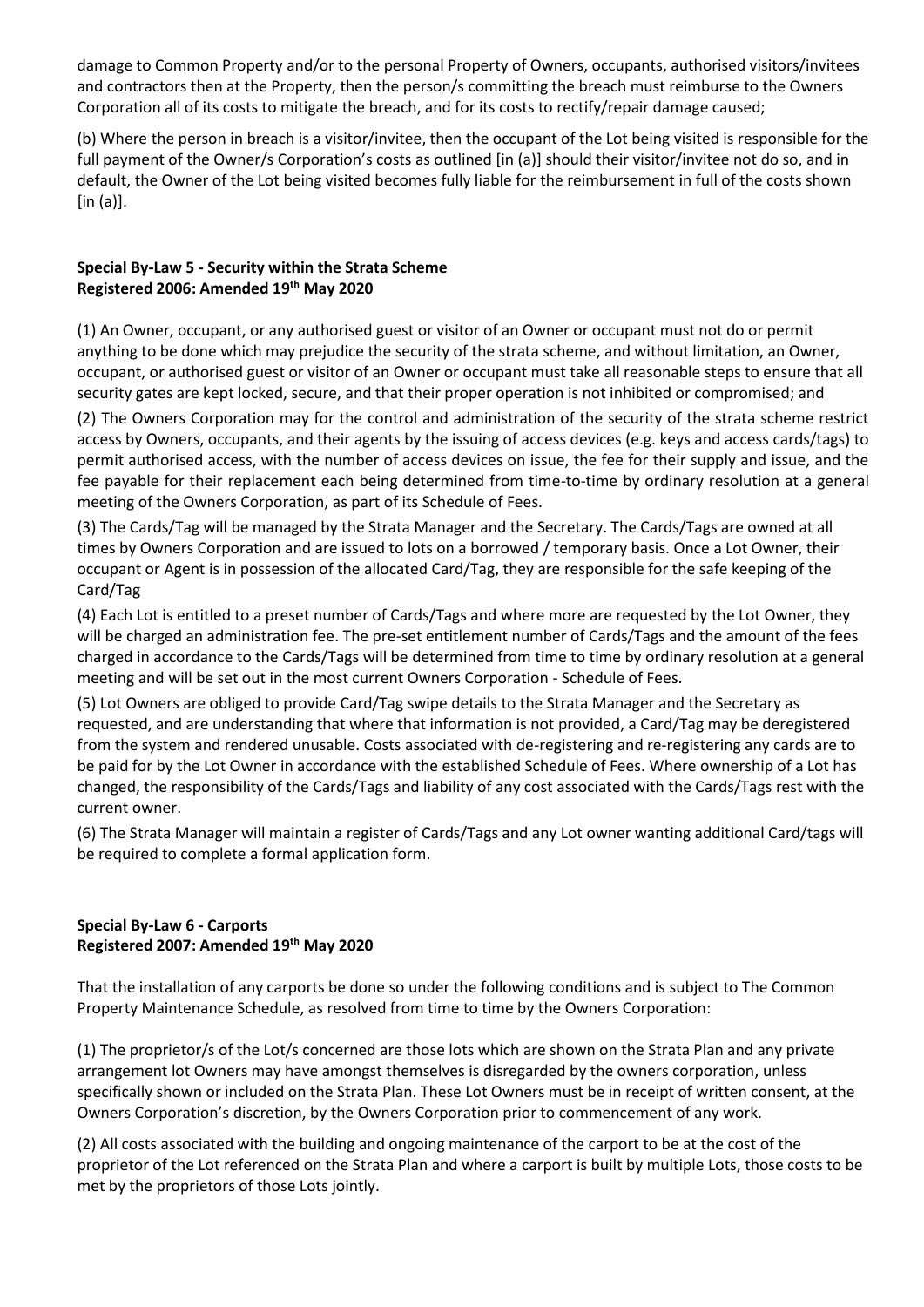damage to Common Property and/or to the personal Property of Owners, occupants, authorised visitors/invitees and contractors then at the Property, then the person/s committing the breach must reimburse to the Owners Corporation all of its costs to mitigate the breach, and for its costs to rectify/repair damage caused;

(b) Where the person in breach is a visitor/invitee, then the occupant of the Lot being visited is responsible for the full payment of the Owner/s Corporation's costs as outlined [in (a)] should their visitor/invitee not do so, and in default, the Owner of the Lot being visited becomes fully liable for the reimbursement in full of the costs shown [in (a)].

# **Special By-Law 5 - Security within the Strata Scheme Registered 2006: Amended 19th May 2020**

(1) An Owner, occupant, or any authorised guest or visitor of an Owner or occupant must not do or permit anything to be done which may prejudice the security of the strata scheme, and without limitation, an Owner, occupant, or authorised guest or visitor of an Owner or occupant must take all reasonable steps to ensure that all security gates are kept locked, secure, and that their proper operation is not inhibited or compromised; and

(2) The Owners Corporation may for the control and administration of the security of the strata scheme restrict access by Owners, occupants, and their agents by the issuing of access devices (e.g. keys and access cards/tags) to permit authorised access, with the number of access devices on issue, the fee for their supply and issue, and the fee payable for their replacement each being determined from time-to-time by ordinary resolution at a general meeting of the Owners Corporation, as part of its Schedule of Fees.

(3) The Cards/Tag will be managed by the Strata Manager and the Secretary. The Cards/Tags are owned at all times by Owners Corporation and are issued to lots on a borrowed / temporary basis. Once a Lot Owner, their occupant or Agent is in possession of the allocated Card/Tag, they are responsible for the safe keeping of the Card/Tag

(4) Each Lot is entitled to a preset number of Cards/Tags and where more are requested by the Lot Owner, they will be charged an administration fee. The pre-set entitlement number of Cards/Tags and the amount of the fees charged in accordance to the Cards/Tags will be determined from time to time by ordinary resolution at a general meeting and will be set out in the most current Owners Corporation - Schedule of Fees.

(5) Lot Owners are obliged to provide Card/Tag swipe details to the Strata Manager and the Secretary as requested, and are understanding that where that information is not provided, a Card/Tag may be deregistered from the system and rendered unusable. Costs associated with de-registering and re-registering any cards are to be paid for by the Lot Owner in accordance with the established Schedule of Fees. Where ownership of a Lot has changed, the responsibility of the Cards/Tags and liability of any cost associated with the Cards/Tags rest with the current owner.

(6) The Strata Manager will maintain a register of Cards/Tags and any Lot owner wanting additional Card/tags will be required to complete a formal application form.

### **Special By-Law 6 - Carports Registered 2007: Amended 19th May 2020**

That the installation of any carports be done so under the following conditions and is subject to The Common Property Maintenance Schedule, as resolved from time to time by the Owners Corporation:

(1) The proprietor/s of the Lot/s concerned are those lots which are shown on the Strata Plan and any private arrangement lot Owners may have amongst themselves is disregarded by the owners corporation, unless specifically shown or included on the Strata Plan. These Lot Owners must be in receipt of written consent, at the Owners Corporation's discretion, by the Owners Corporation prior to commencement of any work.

(2) All costs associated with the building and ongoing maintenance of the carport to be at the cost of the proprietor of the Lot referenced on the Strata Plan and where a carport is built by multiple Lots, those costs to be met by the proprietors of those Lots jointly.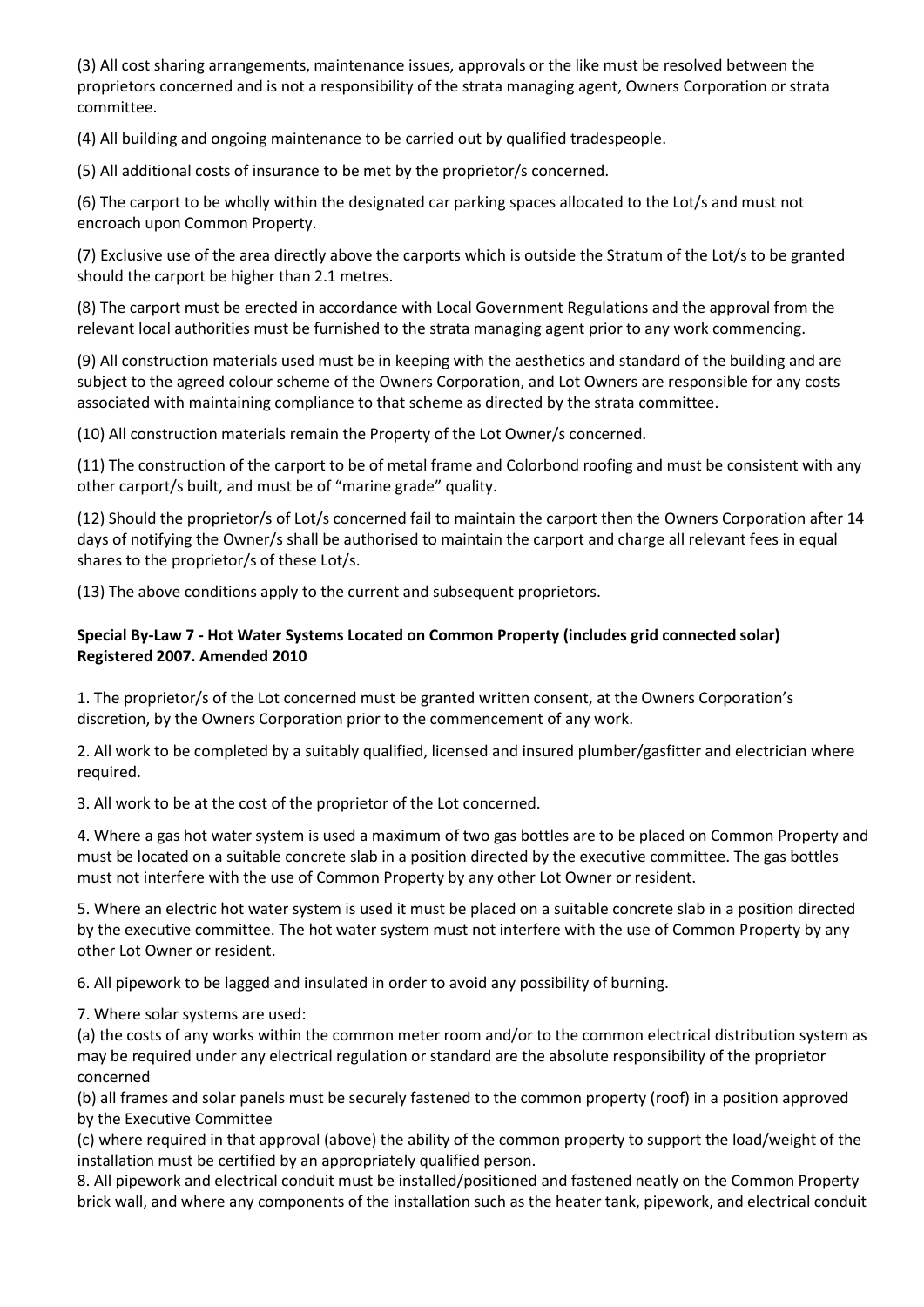(3) All cost sharing arrangements, maintenance issues, approvals or the like must be resolved between the proprietors concerned and is not a responsibility of the strata managing agent, Owners Corporation or strata committee.

(4) All building and ongoing maintenance to be carried out by qualified tradespeople.

(5) All additional costs of insurance to be met by the proprietor/s concerned.

(6) The carport to be wholly within the designated car parking spaces allocated to the Lot/s and must not encroach upon Common Property.

(7) Exclusive use of the area directly above the carports which is outside the Stratum of the Lot/s to be granted should the carport be higher than 2.1 metres.

(8) The carport must be erected in accordance with Local Government Regulations and the approval from the relevant local authorities must be furnished to the strata managing agent prior to any work commencing.

(9) All construction materials used must be in keeping with the aesthetics and standard of the building and are subject to the agreed colour scheme of the Owners Corporation, and Lot Owners are responsible for any costs associated with maintaining compliance to that scheme as directed by the strata committee.

(10) All construction materials remain the Property of the Lot Owner/s concerned.

(11) The construction of the carport to be of metal frame and Colorbond roofing and must be consistent with any other carport/s built, and must be of "marine grade" quality.

(12) Should the proprietor/s of Lot/s concerned fail to maintain the carport then the Owners Corporation after 14 days of notifying the Owner/s shall be authorised to maintain the carport and charge all relevant fees in equal shares to the proprietor/s of these Lot/s.

(13) The above conditions apply to the current and subsequent proprietors.

# **Special By-Law 7 - Hot Water Systems Located on Common Property (includes grid connected solar) Registered 2007. Amended 2010**

1. The proprietor/s of the Lot concerned must be granted written consent, at the Owners Corporation's discretion, by the Owners Corporation prior to the commencement of any work.

2. All work to be completed by a suitably qualified, licensed and insured plumber/gasfitter and electrician where required.

3. All work to be at the cost of the proprietor of the Lot concerned.

4. Where a gas hot water system is used a maximum of two gas bottles are to be placed on Common Property and must be located on a suitable concrete slab in a position directed by the executive committee. The gas bottles must not interfere with the use of Common Property by any other Lot Owner or resident.

5. Where an electric hot water system is used it must be placed on a suitable concrete slab in a position directed by the executive committee. The hot water system must not interfere with the use of Common Property by any other Lot Owner or resident.

6. All pipework to be lagged and insulated in order to avoid any possibility of burning.

7. Where solar systems are used:

(a) the costs of any works within the common meter room and/or to the common electrical distribution system as may be required under any electrical regulation or standard are the absolute responsibility of the proprietor concerned

(b) all frames and solar panels must be securely fastened to the common property (roof) in a position approved by the Executive Committee

(c) where required in that approval (above) the ability of the common property to support the load/weight of the installation must be certified by an appropriately qualified person.

8. All pipework and electrical conduit must be installed/positioned and fastened neatly on the Common Property brick wall, and where any components of the installation such as the heater tank, pipework, and electrical conduit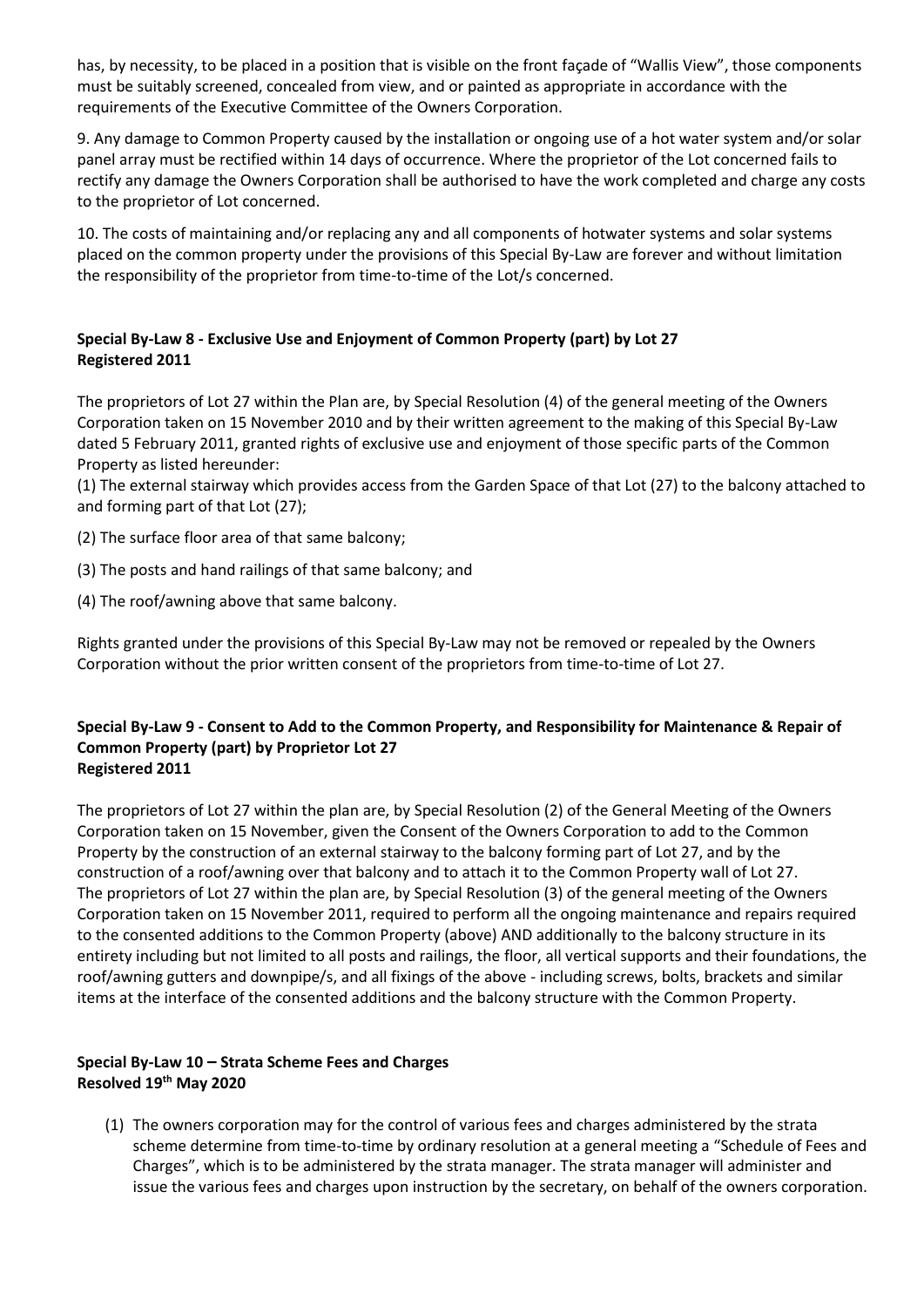has, by necessity, to be placed in a position that is visible on the front façade of "Wallis View", those components must be suitably screened, concealed from view, and or painted as appropriate in accordance with the requirements of the Executive Committee of the Owners Corporation.

9. Any damage to Common Property caused by the installation or ongoing use of a hot water system and/or solar panel array must be rectified within 14 days of occurrence. Where the proprietor of the Lot concerned fails to rectify any damage the Owners Corporation shall be authorised to have the work completed and charge any costs to the proprietor of Lot concerned.

10. The costs of maintaining and/or replacing any and all components of hotwater systems and solar systems placed on the common property under the provisions of this Special By-Law are forever and without limitation the responsibility of the proprietor from time-to-time of the Lot/s concerned.

# **Special By-Law 8 - Exclusive Use and Enjoyment of Common Property (part) by Lot 27 Registered 2011**

The proprietors of Lot 27 within the Plan are, by Special Resolution (4) of the general meeting of the Owners Corporation taken on 15 November 2010 and by their written agreement to the making of this Special By-Law dated 5 February 2011, granted rights of exclusive use and enjoyment of those specific parts of the Common Property as listed hereunder:

(1) The external stairway which provides access from the Garden Space of that Lot (27) to the balcony attached to and forming part of that Lot (27);

(2) The surface floor area of that same balcony;

(3) The posts and hand railings of that same balcony; and

(4) The roof/awning above that same balcony.

Rights granted under the provisions of this Special By-Law may not be removed or repealed by the Owners Corporation without the prior written consent of the proprietors from time-to-time of Lot 27.

### **Special By-Law 9 - Consent to Add to the Common Property, and Responsibility for Maintenance & Repair of Common Property (part) by Proprietor Lot 27 Registered 2011**

The proprietors of Lot 27 within the plan are, by Special Resolution (2) of the General Meeting of the Owners Corporation taken on 15 November, given the Consent of the Owners Corporation to add to the Common Property by the construction of an external stairway to the balcony forming part of Lot 27, and by the construction of a roof/awning over that balcony and to attach it to the Common Property wall of Lot 27. The proprietors of Lot 27 within the plan are, by Special Resolution (3) of the general meeting of the Owners Corporation taken on 15 November 2011, required to perform all the ongoing maintenance and repairs required to the consented additions to the Common Property (above) AND additionally to the balcony structure in its entirety including but not limited to all posts and railings, the floor, all vertical supports and their foundations, the roof/awning gutters and downpipe/s, and all fixings of the above - including screws, bolts, brackets and similar items at the interface of the consented additions and the balcony structure with the Common Property.

### **Special By-Law 10 – Strata Scheme Fees and Charges Resolved 19th May 2020**

(1) The owners corporation may for the control of various fees and charges administered by the strata scheme determine from time-to-time by ordinary resolution at a general meeting a "Schedule of Fees and Charges", which is to be administered by the strata manager. The strata manager will administer and issue the various fees and charges upon instruction by the secretary, on behalf of the owners corporation.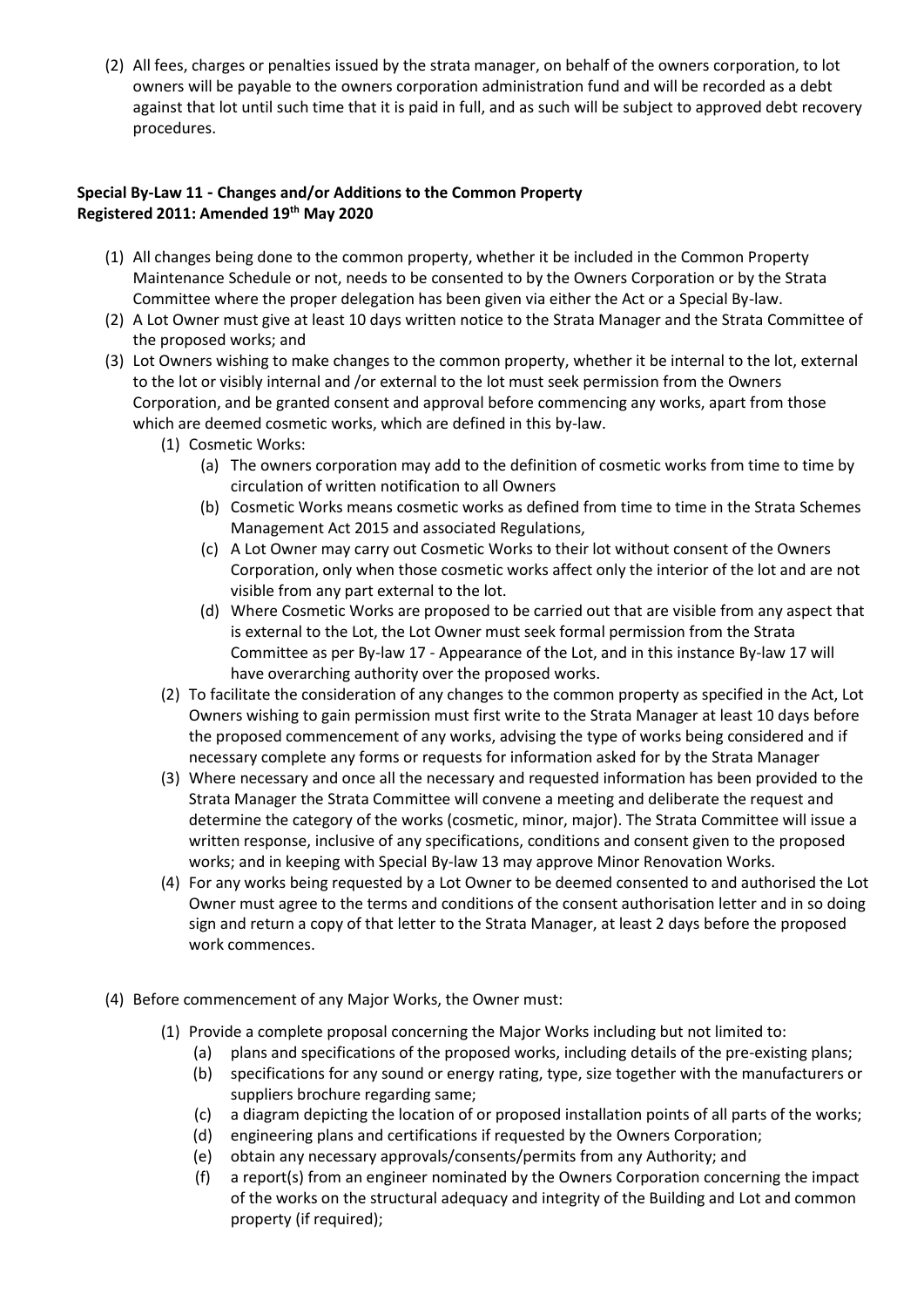(2) All fees, charges or penalties issued by the strata manager, on behalf of the owners corporation, to lot owners will be payable to the owners corporation administration fund and will be recorded as a debt against that lot until such time that it is paid in full, and as such will be subject to approved debt recovery procedures.

### **Special By-Law 11 - Changes and/or Additions to the Common Property Registered 2011: Amended 19th May 2020**

- (1) All changes being done to the common property, whether it be included in the Common Property Maintenance Schedule or not, needs to be consented to by the Owners Corporation or by the Strata Committee where the proper delegation has been given via either the Act or a Special By-law.
- (2) A Lot Owner must give at least 10 days written notice to the Strata Manager and the Strata Committee of the proposed works; and
- (3) Lot Owners wishing to make changes to the common property, whether it be internal to the lot, external to the lot or visibly internal and /or external to the lot must seek permission from the Owners Corporation, and be granted consent and approval before commencing any works, apart from those which are deemed cosmetic works, which are defined in this by-law.
	- (1) Cosmetic Works:
		- (a) The owners corporation may add to the definition of cosmetic works from time to time by circulation of written notification to all Owners
		- (b) Cosmetic Works means cosmetic works as defined from time to time in the Strata Schemes Management Act 2015 and associated Regulations,
		- (c) A Lot Owner may carry out Cosmetic Works to their lot without consent of the Owners Corporation, only when those cosmetic works affect only the interior of the lot and are not visible from any part external to the lot.
		- (d) Where Cosmetic Works are proposed to be carried out that are visible from any aspect that is external to the Lot, the Lot Owner must seek formal permission from the Strata Committee as per By-law 17 - Appearance of the Lot, and in this instance By-law 17 will have overarching authority over the proposed works.
	- (2) To facilitate the consideration of any changes to the common property as specified in the Act, Lot Owners wishing to gain permission must first write to the Strata Manager at least 10 days before the proposed commencement of any works, advising the type of works being considered and if necessary complete any forms or requests for information asked for by the Strata Manager
	- (3) Where necessary and once all the necessary and requested information has been provided to the Strata Manager the Strata Committee will convene a meeting and deliberate the request and determine the category of the works (cosmetic, minor, major). The Strata Committee will issue a written response, inclusive of any specifications, conditions and consent given to the proposed works; and in keeping with Special By-law 13 may approve Minor Renovation Works.
	- (4) For any works being requested by a Lot Owner to be deemed consented to and authorised the Lot Owner must agree to the terms and conditions of the consent authorisation letter and in so doing sign and return a copy of that letter to the Strata Manager, at least 2 days before the proposed work commences.
- (4) Before commencement of any Major Works, the Owner must:
	- (1) Provide a complete proposal concerning the Major Works including but not limited to:
		- (a) plans and specifications of the proposed works, including details of the pre-existing plans;
		- (b) specifications for any sound or energy rating, type, size together with the manufacturers or suppliers brochure regarding same;
		- (c) a diagram depicting the location of or proposed installation points of all parts of the works;
		- (d) engineering plans and certifications if requested by the Owners Corporation;
		- (e) obtain any necessary approvals/consents/permits from any Authority; and
		- (f) a report(s) from an engineer nominated by the Owners Corporation concerning the impact of the works on the structural adequacy and integrity of the Building and Lot and common property (if required);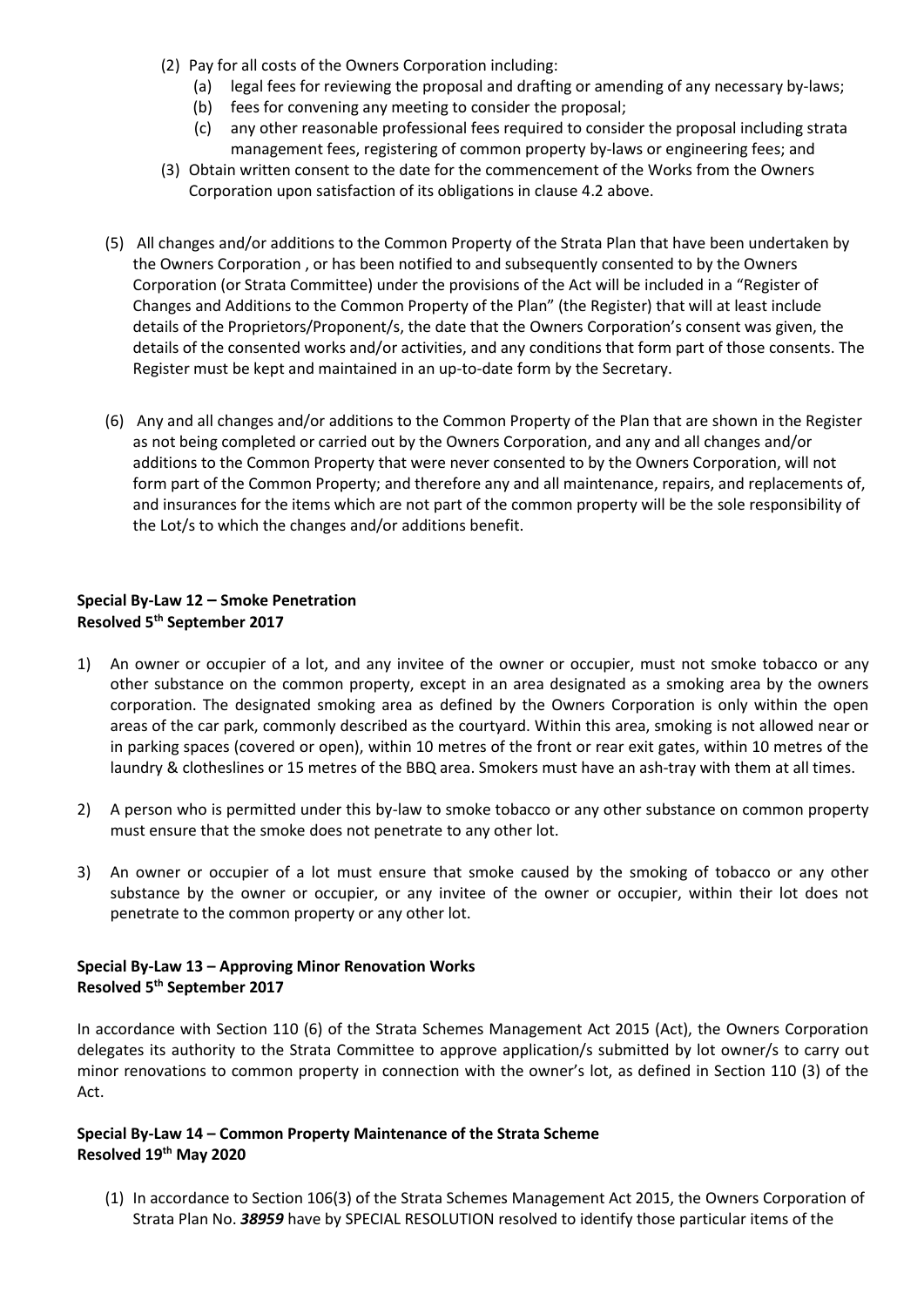- (2) Pay for all costs of the Owners Corporation including:
	- (a) legal fees for reviewing the proposal and drafting or amending of any necessary by-laws;
	- (b) fees for convening any meeting to consider the proposal;
	- (c) any other reasonable professional fees required to consider the proposal including strata management fees, registering of common property by-laws or engineering fees; and
- (3) Obtain written consent to the date for the commencement of the Works from the Owners Corporation upon satisfaction of its obligations in clause 4.2 above.
- (5) All changes and/or additions to the Common Property of the Strata Plan that have been undertaken by the Owners Corporation , or has been notified to and subsequently consented to by the Owners Corporation (or Strata Committee) under the provisions of the Act will be included in a "Register of Changes and Additions to the Common Property of the Plan" (the Register) that will at least include details of the Proprietors/Proponent/s, the date that the Owners Corporation's consent was given, the details of the consented works and/or activities, and any conditions that form part of those consents. The Register must be kept and maintained in an up-to-date form by the Secretary.
- (6) Any and all changes and/or additions to the Common Property of the Plan that are shown in the Register as not being completed or carried out by the Owners Corporation, and any and all changes and/or additions to the Common Property that were never consented to by the Owners Corporation, will not form part of the Common Property; and therefore any and all maintenance, repairs, and replacements of, and insurances for the items which are not part of the common property will be the sole responsibility of the Lot/s to which the changes and/or additions benefit.

# **Special By-Law 12 – Smoke Penetration Resolved 5th September 2017**

- 1) An owner or occupier of a lot, and any invitee of the owner or occupier, must not smoke tobacco or any other substance on the common property, except in an area designated as a smoking area by the owners corporation. The designated smoking area as defined by the Owners Corporation is only within the open areas of the car park, commonly described as the courtyard. Within this area, smoking is not allowed near or in parking spaces (covered or open), within 10 metres of the front or rear exit gates, within 10 metres of the laundry & clotheslines or 15 metres of the BBQ area. Smokers must have an ash-tray with them at all times.
- 2) A person who is permitted under this by-law to smoke tobacco or any other substance on common property must ensure that the smoke does not penetrate to any other lot.
- 3) An owner or occupier of a lot must ensure that smoke caused by the smoking of tobacco or any other substance by the owner or occupier, or any invitee of the owner or occupier, within their lot does not penetrate to the common property or any other lot.

# **Special By-Law 13 – Approving Minor Renovation Works Resolved 5 th September 2017**

In accordance with Section 110 (6) of the Strata Schemes Management Act 2015 (Act), the Owners Corporation delegates its authority to the Strata Committee to approve application/s submitted by lot owner/s to carry out minor renovations to common property in connection with the owner's lot, as defined in Section 110 (3) of the Act.

# **Special By-Law 14 – Common Property Maintenance of the Strata Scheme Resolved 19th May 2020**

(1) In accordance to Section 106(3) of the Strata Schemes Management Act 2015, the Owners Corporation of Strata Plan No. *38959* have by SPECIAL RESOLUTION resolved to identify those particular items of the